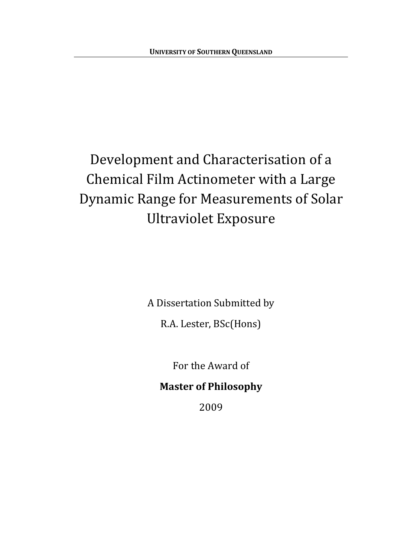# <span id="page-0-0"></span>Development and Characterisation of a Chemical Film Actinometer with a Large Dynamic Range for Measurements of Solar Ultraviolet Exposure

A Dissertation Submitted by

R.A. Lester, BSc(Hons)

For the Award of

#### **Master of Philosophy**

2009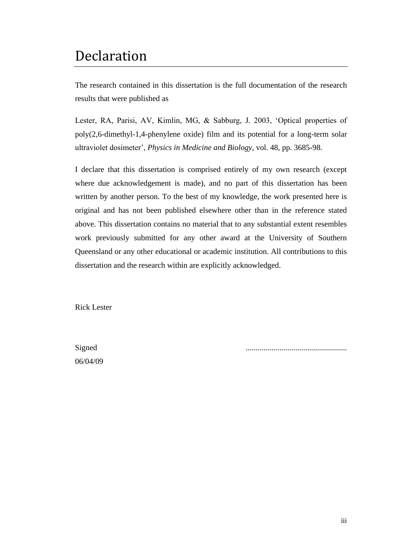#### Declaration

The research contained in this dissertation is the full documentation of the research results that were published as

Lester, RA, Parisi, AV, Kimlin, MG, & Sabburg, J. 2003, 'Optical properties of poly(2,6-dimethyl-1,4-phenylene oxide) film and its potential for a long-term solar ultraviolet dosimeter', *Physics in Medicine and Biology*, vol. 48, pp. 3685-98.

I declare that this dissertation is comprised entirely of my own research (except where due acknowledgement is made), and no part of this dissertation has been written by another person. To the best of my knowledge, the work presented here is original and has not been published elsewhere other than in the reference stated above. This dissertation contains no material that to any substantial extent resembles work previously submitted for any other award at the University of Southern Queensland or any other educational or academic institution. All contributions to this dissertation and the research within are explicitly acknowledged.

Rick Lester

06/04/09

Signed ...................................................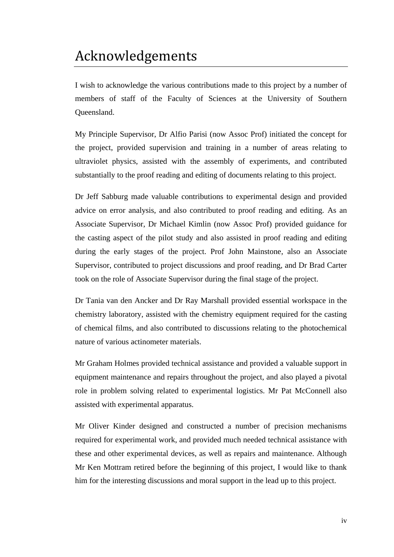## <span id="page-2-0"></span>Acknowledgements

I wish to acknowledge the various contributions made to this project by a number of members of staff of the Faculty of Sciences at the University of Southern Queensland.

My Principle Supervisor, Dr Alfio Parisi (now Assoc Prof) initiated the concept for the project, provided supervision and training in a number of areas relating to ultraviolet physics, assisted with the assembly of experiments, and contributed substantially to the proof reading and editing of documents relating to this project.

Dr Jeff Sabburg made valuable contributions to experimental design and provided advice on error analysis, and also contributed to proof reading and editing. As an Associate Supervisor, Dr Michael Kimlin (now Assoc Prof) provided guidance for the casting aspect of the pilot study and also assisted in proof reading and editing during the early stages of the project. Prof John Mainstone, also an Associate Supervisor, contributed to project discussions and proof reading, and Dr Brad Carter took on the role of Associate Supervisor during the final stage of the project.

Dr Tania van den Ancker and Dr Ray Marshall provided essential workspace in the chemistry laboratory, assisted with the chemistry equipment required for the casting of chemical films, and also contributed to discussions relating to the photochemical nature of various actinometer materials.

Mr Graham Holmes provided technical assistance and provided a valuable support in equipment maintenance and repairs throughout the project, and also played a pivotal role in problem solving related to experimental logistics. Mr Pat McConnell also assisted with experimental apparatus.

Mr Oliver Kinder designed and constructed a number of precision mechanisms required for experimental work, and provided much needed technical assistance with these and other experimental devices, as well as repairs and maintenance. Although Mr Ken Mottram retired before the beginning of this project, I would like to thank him for the interesting discussions and moral support in the lead up to this project.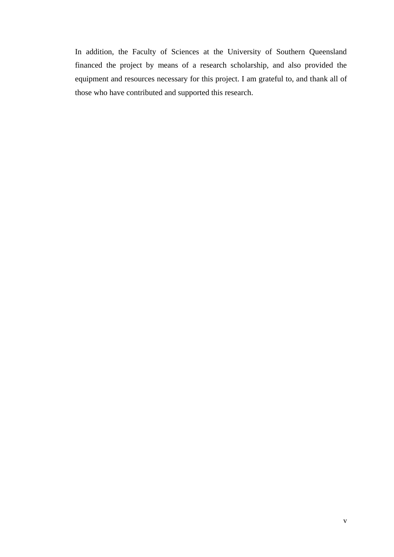In addition, the Faculty of Sciences at the University of Southern Queensland financed the project by means of a research scholarship, and also provided the equipment and resources necessary for this project. I am grateful to, and thank all of those who have contributed and supported this research.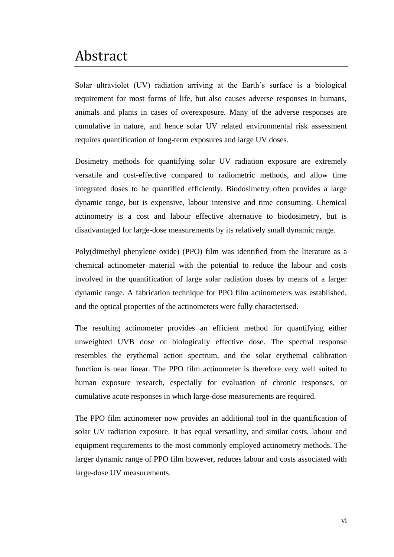#### <span id="page-4-0"></span>Abstract

Solar ultraviolet (UV) radiation arriving at the Earth's surface is a biological requirement for most forms of life, but also causes adverse responses in humans, animals and plants in cases of overexposure. Many of the adverse responses are cumulative in nature, and hence solar UV related environmental risk assessment requires quantification of long-term exposures and large UV doses.

Dosimetry methods for quantifying solar UV radiation exposure are extremely versatile and cost-effective compared to radiometric methods, and allow time integrated doses to be quantified efficiently. Biodosimetry often provides a large dynamic range, but is expensive, labour intensive and time consuming. Chemical actinometry is a cost and labour effective alternative to biodosimetry, but is disadvantaged for large-dose measurements by its relatively small dynamic range.

Poly(dimethyl phenylene oxide) (PPO) film was identified from the literature as a chemical actinometer material with the potential to reduce the labour and costs involved in the quantification of large solar radiation doses by means of a larger dynamic range. A fabrication technique for PPO film actinometers was established, and the optical properties of the actinometers were fully characterised.

The resulting actinometer provides an efficient method for quantifying either unweighted UVB dose or biologically effective dose. The spectral response resembles the erythemal action spectrum, and the solar erythemal calibration function is near linear. The PPO film actinometer is therefore very well suited to human exposure research, especially for evaluation of chronic responses, or cumulative acute responses in which large-dose measurements are required.

The PPO film actinometer now provides an additional tool in the quantification of solar UV radiation exposure. It has equal versatility, and similar costs, labour and equipment requirements to the most commonly employed actinometry methods. The larger dynamic range of PPO film however, reduces labour and costs associated with large-dose UV measurements.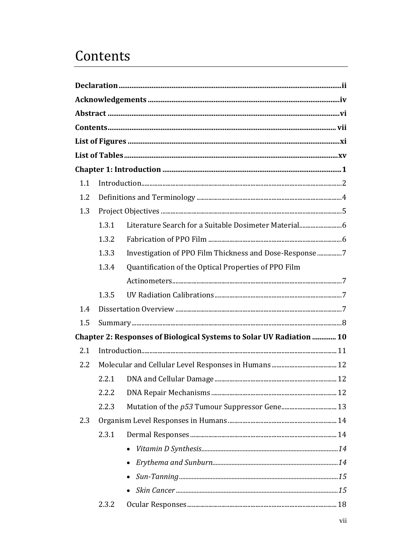## <span id="page-5-0"></span>Contents

| 1.1 |       |                                                                      |  |
|-----|-------|----------------------------------------------------------------------|--|
| 1.2 |       |                                                                      |  |
| 1.3 |       |                                                                      |  |
|     | 1.3.1 |                                                                      |  |
|     | 1.3.2 |                                                                      |  |
|     | 1.3.3 | Investigation of PPO Film Thickness and Dose-Response 7              |  |
|     | 1.3.4 | Quantification of the Optical Properties of PPO Film                 |  |
|     |       |                                                                      |  |
|     | 1.3.5 |                                                                      |  |
| 1.4 |       |                                                                      |  |
| 1.5 |       |                                                                      |  |
|     |       | Chapter 2: Responses of Biological Systems to Solar UV Radiation  10 |  |
| 2.1 |       |                                                                      |  |
| 2.2 |       |                                                                      |  |
|     | 2.2.1 |                                                                      |  |
|     | 2.2.2 |                                                                      |  |
|     | 2.2.3 |                                                                      |  |
| 2.3 |       |                                                                      |  |
|     | 2.3.1 |                                                                      |  |
|     |       |                                                                      |  |
|     |       |                                                                      |  |
|     |       |                                                                      |  |
|     |       |                                                                      |  |
|     | 2.3.2 |                                                                      |  |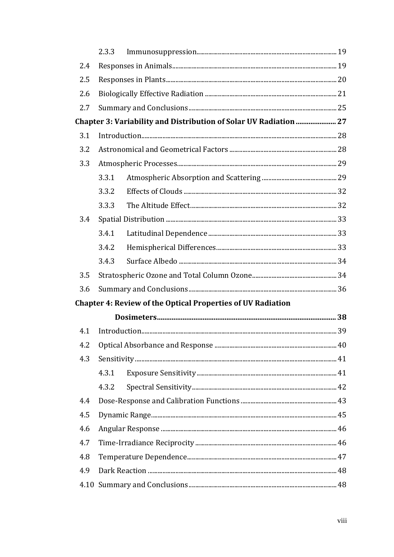|     | 2.3.3 |                                                                    |  |  |  |
|-----|-------|--------------------------------------------------------------------|--|--|--|
| 2.4 |       |                                                                    |  |  |  |
| 2.5 |       |                                                                    |  |  |  |
| 2.6 |       |                                                                    |  |  |  |
| 2.7 |       |                                                                    |  |  |  |
|     |       | Chapter 3: Variability and Distribution of Solar UV Radiation  27  |  |  |  |
| 3.1 |       |                                                                    |  |  |  |
| 3.2 |       |                                                                    |  |  |  |
| 3.3 |       |                                                                    |  |  |  |
|     | 3.3.1 |                                                                    |  |  |  |
|     | 3.3.2 |                                                                    |  |  |  |
|     | 3.3.3 |                                                                    |  |  |  |
| 3.4 |       |                                                                    |  |  |  |
|     | 3.4.1 |                                                                    |  |  |  |
|     | 3.4.2 |                                                                    |  |  |  |
|     | 3.4.3 |                                                                    |  |  |  |
| 3.5 |       |                                                                    |  |  |  |
| 3.6 |       |                                                                    |  |  |  |
|     |       | <b>Chapter 4: Review of the Optical Properties of UV Radiation</b> |  |  |  |
|     |       |                                                                    |  |  |  |
| 4.1 |       |                                                                    |  |  |  |
| 4.2 |       |                                                                    |  |  |  |
| 4.3 |       |                                                                    |  |  |  |
|     | 4.3.1 |                                                                    |  |  |  |
|     | 4.3.2 |                                                                    |  |  |  |
| 4.4 |       |                                                                    |  |  |  |
| 4.5 |       |                                                                    |  |  |  |
| 4.6 |       |                                                                    |  |  |  |
| 4.7 |       |                                                                    |  |  |  |
| 4.8 |       |                                                                    |  |  |  |
| 4.9 |       |                                                                    |  |  |  |
|     |       |                                                                    |  |  |  |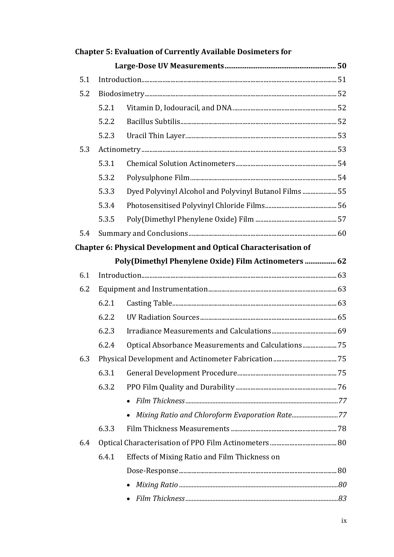|     |       | <b>Chapter 5: Evaluation of Currently Available Dosimeters for</b>     |  |  |  |  |
|-----|-------|------------------------------------------------------------------------|--|--|--|--|
|     |       |                                                                        |  |  |  |  |
| 5.1 |       |                                                                        |  |  |  |  |
| 5.2 |       |                                                                        |  |  |  |  |
|     | 5.2.1 |                                                                        |  |  |  |  |
|     | 5.2.2 |                                                                        |  |  |  |  |
|     | 5.2.3 |                                                                        |  |  |  |  |
| 5.3 |       |                                                                        |  |  |  |  |
|     | 5.3.1 |                                                                        |  |  |  |  |
|     | 5.3.2 |                                                                        |  |  |  |  |
|     | 5.3.3 | Dyed Polyvinyl Alcohol and Polyvinyl Butanol Films  55                 |  |  |  |  |
|     | 5.3.4 |                                                                        |  |  |  |  |
|     | 5.3.5 |                                                                        |  |  |  |  |
| 5.4 |       |                                                                        |  |  |  |  |
|     |       | <b>Chapter 6: Physical Development and Optical Characterisation of</b> |  |  |  |  |
|     |       | Poly(Dimethyl Phenylene Oxide) Film Actinometers  62                   |  |  |  |  |
| 6.1 |       |                                                                        |  |  |  |  |
| 6.2 |       |                                                                        |  |  |  |  |
|     | 6.2.1 |                                                                        |  |  |  |  |
|     | 6.2.2 |                                                                        |  |  |  |  |
|     | 6.2.3 |                                                                        |  |  |  |  |
|     |       | 6.2.4 Optical Absorbance Measurements and Calculations 75              |  |  |  |  |
| 6.3 |       |                                                                        |  |  |  |  |
|     | 6.3.1 |                                                                        |  |  |  |  |
|     | 6.3.2 |                                                                        |  |  |  |  |
|     |       |                                                                        |  |  |  |  |
|     |       | • Mixing Ratio and Chloroform Evaporation Rate77                       |  |  |  |  |
|     | 6.3.3 |                                                                        |  |  |  |  |
| 6.4 |       |                                                                        |  |  |  |  |
|     | 6.4.1 | Effects of Mixing Ratio and Film Thickness on                          |  |  |  |  |
|     |       |                                                                        |  |  |  |  |
|     |       |                                                                        |  |  |  |  |
|     |       |                                                                        |  |  |  |  |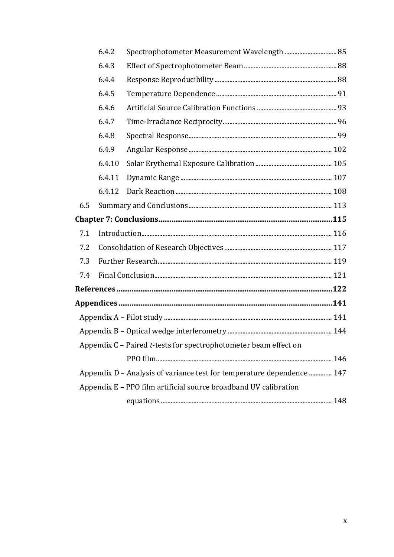|     | 6.4.2  | Spectrophotometer Measurement Wavelength  85                           |  |
|-----|--------|------------------------------------------------------------------------|--|
|     | 6.4.3  |                                                                        |  |
|     | 6.4.4  |                                                                        |  |
|     | 6.4.5  |                                                                        |  |
|     | 6.4.6  |                                                                        |  |
|     | 6.4.7  |                                                                        |  |
|     | 6.4.8  |                                                                        |  |
|     | 6.4.9  |                                                                        |  |
|     | 6.4.10 |                                                                        |  |
|     | 6.4.11 |                                                                        |  |
|     | 6.4.12 |                                                                        |  |
| 6.5 |        |                                                                        |  |
|     |        |                                                                        |  |
| 7.1 |        |                                                                        |  |
| 7.2 |        |                                                                        |  |
| 7.3 |        |                                                                        |  |
| 7.4 |        |                                                                        |  |
|     |        |                                                                        |  |
|     |        |                                                                        |  |
|     |        |                                                                        |  |
|     |        |                                                                        |  |
|     |        | Appendix C - Paired t-tests for spectrophotometer beam effect on       |  |
|     |        |                                                                        |  |
|     |        | Appendix D - Analysis of variance test for temperature dependence  147 |  |
|     |        | Appendix E - PPO film artificial source broadband UV calibration       |  |
|     |        |                                                                        |  |
|     |        |                                                                        |  |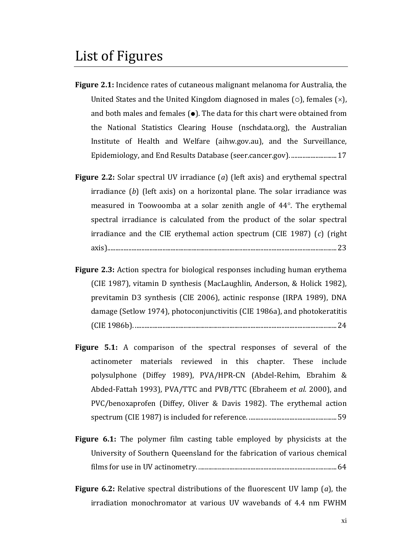- <span id="page-9-0"></span>**Figure 2.1:** Incidence rates of cutaneous malignant melanoma for Australia, the United States and the United Kingdom diagnosed in males ( $\circ$ ), females ( $\times$ ), and both males and females  $(\bullet)$ . The data for this chart were obtained from the National Statistics Clearing House (nschdata.org), the Australian Institute of Health and Welfare (aihw.gov.au), and the Surveillance, Epidemiology, and End Results Database (seer.cancer.gov). ............................17
- **Figure 2.2:** Solar spectral UV irradiance (*a*) (left axis) and erythemal spectral irradiance (*b*) (left axis) on a horizontal plane. The solar irradiance was measured in Toowoomba at a solar zenith angle of 44°. The erythemal spectral irradiance is calculated from the product of the solar spectral irradiance and the CIE erythemal action spectrum (CIE 1987) (*c*) (right axis).............................................................................................................................................23
- **Figure 2.3:** Action spectra for biological responses including human erythema (CIE 1987), vitamin D synthesis (MacLaughlin, Anderson, & Holick 1982), previtamin D3 synthesis (CIE 2006), actinic response (IRPA 1989), DNA damage (Setlow 1974), photoconjunctivitis (CIE 1986a), and photokeratitis (CIE 1986b). ............................................................................................................................24
- **Figure 5.1:** A comparison of the spectral responses of several of the actinometer materials reviewed in this chapter. These include polysulphone (Diffey 1989), PVA/HPR-CN (Abdel-Rehim, Ebrahim & Abded-Fattah 1993), PVA/TTC and PVB/TTC (Ebraheem *et al.* 2000), and PVC/benoxaprofen (Diffey, Oliver & Davis 1982). The erythemal action spectrum (CIE 1987) is included for reference. ......................................................59
- **Figure 6.1:** The polymer film casting table employed by physicists at the University of Southern Queensland for the fabrication of various chemical films for use in UV actinometry. .....................................................................................64
- **Figure 6.2:** Relative spectral distributions of the fluorescent UV lamp (*a*), the irradiation monochromator at various UV wavebands of 4.4 nm FWHM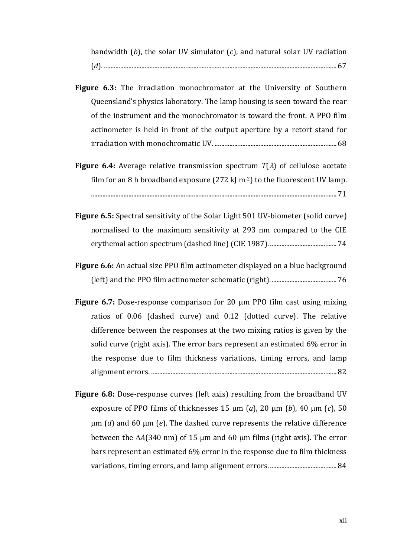bandwidth (*b*), the solar UV simulator (*c*), and natural solar UV radiation (*d*). ...............................................................................................................................................67

- **Figure 6.3:** The irradiation monochromator at the University of Southern Queensland's physics laboratory. The lamp housing is seen toward the rear of the instrument and the monochromator is toward the front. A PPO film actinometer is held in front of the output aperture by a retort stand for irradiation with monochromatic UV. ...........................................................................68
- **Figure 6.4:** Average relative transmission spectrum  $T(\lambda)$  of cellulose acetate film for an 8 h broadband exposure (272 kJ m<sup>-2</sup>) to the fluorescent UV lamp. .......................................................................................................................................................71
- **Figure 6.5:** Spectral sensitivity of the Solar Light 501 UV-biometer (solid curve) normalised to the maximum sensitivity at 293 nm compared to the CIE erythemal action spectrum (dashed line) (CIE 1987). .........................................74
- **Figure 6.6:** An actual size PPO film actinometer displayed on a blue background (left) and the PPO film actinometer schematic (right).........................................76
- **Figure 6.7:** Dose-response comparison for 20  $\mu$ m PPO film cast using mixing ratios of 0.06 (dashed curve) and 0.12 (dotted curve). The relative difference between the responses at the two mixing ratios is given by the solid curve (right axis). The error bars represent an estimated 6% error in the response due to film thickness variations, timing errors, and lamp alignment errors. ..................................................................................................................82
- **Figure 6.8:** Dose-response curves (left axis) resulting from the broadband UV exposure of PPO films of thicknesses 15  $\mu$ m (*a*), 20  $\mu$ m (*b*), 40  $\mu$ m (*c*), 50  $\mu$ m (*d*) and 60  $\mu$ m (*e*). The dashed curve represents the relative difference between the  $\Delta A(340 \text{ nm})$  of 15  $\mu$ m and 60  $\mu$ m films (right axis). The error bars represent an estimated 6% error in the response due to film thickness variations, timing errors, and lamp alignment errors. .........................................84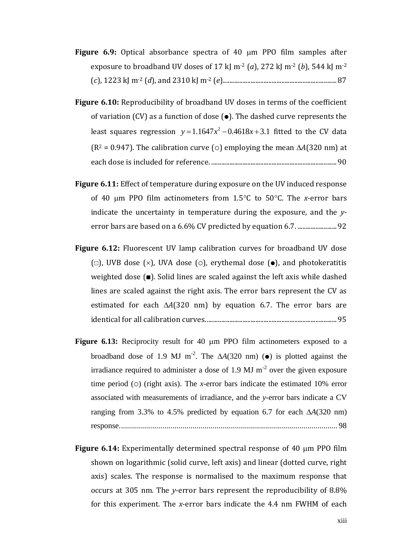- **Figure 6.9:** Optical absorbance spectra of 40  $\mu$ m PPO film samples after exposure to broadband UV doses of 17 kJ m<sup>-2</sup> (*a*), 272 kJ m<sup>-2</sup> (*b*), 544 kJ m<sup>-2</sup> (*c*), 1223 kJ m-2 (*d*), and 2310 kJ m-2 (*e*)......................................................................87
- **Figure 6.10:** Reproducibility of broadband UV doses in terms of the coefficient of variation (CV) as a function of dose  $(\bullet)$ . The dashed curve represents the least squares regression  $y = 1.1647x^2$  $y = 1.1647x^2 - 0.4618x + 3.1$  fitted to the CV data ( $R^2$  = 0.947). The calibration curve ( $\circ$ ) employing the mean  $\Delta A(320 \text{ nm})$  at each dose is included for reference. .............................................................................90
- **Figure 6.11:** Effect of temperature during exposure on the UV induced response of 40  $\mu$ m PPO film actinometers from 1.5 $\degree$ C to 50 $\degree$ C. The *x*-error bars indicate the uncertainty in temperature during the exposure, and the *y*error bars are based on a 6.6% CV predicted by equation 6.7. ........................92
- **Figure 6.12:** Fluorescent UV lamp calibration curves for broadband UV dose ( $\Box$ ), UVB dose ( $\times$ ), UVA dose ( $\odot$ ), erythemal dose ( $\bullet$ ), and photokeratitis weighted dose  $(\blacksquare)$ . Solid lines are scaled against the left axis while dashed lines are scaled against the right axis. The error bars represent the CV as estimated for each  $\Delta A(320 \text{ nm})$  by equation 6.7. The error bars are identical for all calibration curves.................................................................................95
- **Figure 6.13:** Reciprocity result for 40  $\mu$ m PPO film actinometers exposed to a broadband dose of 1.9 MJ m<sup>-2</sup>. The  $\Delta A(320 \text{ nm})$  ( $\bullet$ ) is plotted against the irradiance required to administer a dose of 1.9 MJ  $m<sup>-2</sup>$  over the given exposure time period ( $\circ$ ) (right axis). The *x*-error bars indicate the estimated 10% error associated with measurements of irradiance, and the *y*-error bars indicate a CV ranging from 3.3% to 4.5% predicted by equation 6.7 for each  $\Delta A(320 \text{ nm})$ response.............................................................................................................. 98
- **Figure 6.14:** Experimentally determined spectral response of 40  $\mu$ m PPO film shown on logarithmic (solid curve, left axis) and linear (dotted curve, right axis) scales. The response is normalised to the maximum response that occurs at 305 nm. The *y*-error bars represent the reproducibility of 8.8% for this experiment. The *x*-error bars indicate the 4.4 nm FWHM of each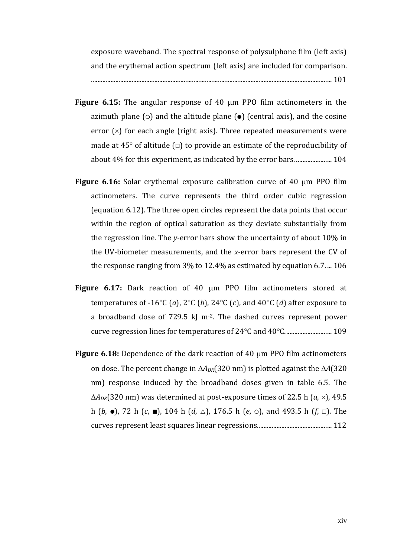exposure waveband. The spectral response of polysulphone film (left axis) and the erythemal action spectrum (left axis) are included for comparison. .................................................................................................................................................... 101

- **Figure 6.15:** The angular response of 40 µm PPO film actinometers in the azimuth plane ( $\circ$ ) and the altitude plane ( $\bullet$ ) (central axis), and the cosine error  $(x)$  for each angle (right axis). Three repeated measurements were made at 45 $\degree$  of altitude ( $\Box$ ) to provide an estimate of the reproducibility of about 4% for this experiment, as indicated by the error bars. ...................... 104
- **Figure 6.16:** Solar erythemal exposure calibration curve of 40  $\mu$ m PPO film actinometers. The curve represents the third order cubic regression (equation 6.12). The three open circles represent the data points that occur within the region of optical saturation as they deviate substantially from the regression line. The *y*-error bars show the uncertainty of about 10% in the UV-biometer measurements, and the *x*-error bars represent the CV of the response ranging from 3% to 12.4% as estimated by equation 6.7. ... 106
- Figure 6.17: Dark reaction of 40 µm PPO film actinometers stored at temperatures of -16°C (*a*), 2°C (*b*), 24°C (*c*), and 40°C (*d*) after exposure to a broadband dose of 729.5 kJ m<sup>-2</sup>. The dashed curves represent power curve regression lines for temperatures of 24C and 40C............................. 109
- **Figure 6.18:** Dependence of the dark reaction of 40 µm PPO film actinometers on dose. The percent change in  $\Delta A_{DK}$ (320 nm) is plotted against the  $\Delta A$ (320 nm) response induced by the broadband doses given in table 6.5. The  $\Delta A_{\text{DK}}(320 \text{ nm})$  was determined at post-exposure times of 22.5 h (*a*,  $\times$ ), 49.5 h (*b*,  $\bullet$ ), 72 h (*c*,  $\blacksquare$ ), 104 h (*d*,  $\triangle$ ), 176.5 h (*e*,  $\circ$ ), and 493.5 h (*f*,  $\Box$ ). The curves represent least squares linear regressions.............................................. 112